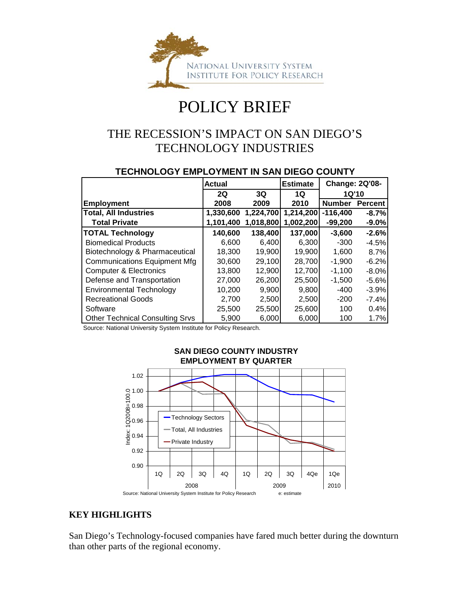

## POLICY BRIEF

### THE RECESSION'S IMPACT ON SAN DIEGO'S TECHNOLOGY INDUSTRIES

#### **TECHNOLOGY EMPLOYMENT IN SAN DIEGO COUNTY**

|                                        | <b>Actual</b> |           | <b>Estimate</b> | <b>Change: 2Q'08-</b> |                |  |
|----------------------------------------|---------------|-----------|-----------------|-----------------------|----------------|--|
|                                        | <b>2Q</b>     | 3Q        | 1Q              | 1Q'10                 |                |  |
| <b>Employment</b>                      | 2008          | 2009      | 2010            | <b>Number</b>         | <b>Percent</b> |  |
| <b>Total, All Industries</b>           | 1,330,600     | 1,224,700 | 1,214,200       | $-116,400$            | $-8.7%$        |  |
| <b>Total Private</b>                   | 1,101,400     | 1,018,800 | 1,002,200       | $-99,200$             | $-9.0\%$       |  |
| <b>TOTAL Technology</b>                | 140,600       | 138,400   | 137,000         | $-3,600$              | $-2.6%$        |  |
| <b>Biomedical Products</b>             | 6.600         | 6.400     | 6,300           | $-300$                | $-4.5%$        |  |
| Biotechnology & Pharmaceutical         | 18.300        | 19,900    | 19,900          | 1,600                 | 8.7%           |  |
| <b>Communications Equipment Mfg</b>    | 30,600        | 29,100    | 28,700          | $-1,900$              | $-6.2%$        |  |
| <b>Computer &amp; Electronics</b>      | 13,800        | 12,900    | 12,700          | $-1,100$              | $-8.0%$        |  |
| Defense and Transportation             | 27,000        | 26,200    | 25,500          | $-1,500$              | $-5.6%$        |  |
| <b>Environmental Technology</b>        | 10.200        | 9.900     | 9,800           | $-400$                | $-3.9%$        |  |
| <b>Recreational Goods</b>              | 2,700         | 2,500     | 2,500           | $-200$                | $-7.4%$        |  |
| Software                               | 25,500        | 25,500    | 25,600          | 100                   | 0.4%           |  |
| <b>Other Technical Consulting Srvs</b> | 5,900         | 6,000     | 6,000           | 100                   | 1.7%           |  |

Source: National University System Institute for Policy Research.



# **SAN DIEGO COUNTY INDUSTRY**

#### **KEY HIGHLIGHTS**

San Diego's Technology-focused companies have fared much better during the downturn than other parts of the regional economy.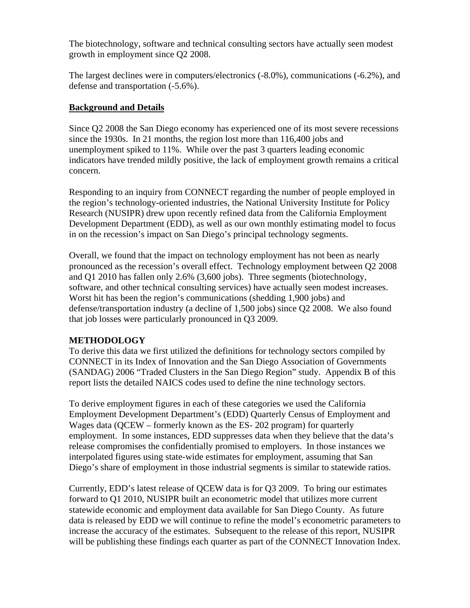The biotechnology, software and technical consulting sectors have actually seen modest growth in employment since Q2 2008.

The largest declines were in computers/electronics (-8.0%), communications (-6.2%), and defense and transportation (-5.6%).

#### **Background and Details**

Since Q2 2008 the San Diego economy has experienced one of its most severe recessions since the 1930s. In 21 months, the region lost more than 116,400 jobs and unemployment spiked to 11%. While over the past 3 quarters leading economic indicators have trended mildly positive, the lack of employment growth remains a critical concern.

Responding to an inquiry from CONNECT regarding the number of people employed in the region's technology-oriented industries, the National University Institute for Policy Research (NUSIPR) drew upon recently refined data from the California Employment Development Department (EDD), as well as our own monthly estimating model to focus in on the recession's impact on San Diego's principal technology segments.

Overall, we found that the impact on technology employment has not been as nearly pronounced as the recession's overall effect. Technology employment between Q2 2008 and Q1 2010 has fallen only 2.6% (3,600 jobs). Three segments (biotechnology, software, and other technical consulting services) have actually seen modest increases. Worst hit has been the region's communications (shedding 1,900 jobs) and defense/transportation industry (a decline of 1,500 jobs) since Q2 2008. We also found that job losses were particularly pronounced in Q3 2009.

#### **METHODOLOGY**

To derive this data we first utilized the definitions for technology sectors compiled by CONNECT in its Index of Innovation and the San Diego Association of Governments (SANDAG) 2006 "Traded Clusters in the San Diego Region" study. Appendix B of this report lists the detailed NAICS codes used to define the nine technology sectors.

To derive employment figures in each of these categories we used the California Employment Development Department's (EDD) Quarterly Census of Employment and Wages data (QCEW – formerly known as the ES- 202 program) for quarterly employment. In some instances, EDD suppresses data when they believe that the data's release compromises the confidentially promised to employers. In those instances we interpolated figures using state-wide estimates for employment, assuming that San Diego's share of employment in those industrial segments is similar to statewide ratios.

Currently, EDD's latest release of QCEW data is for Q3 2009. To bring our estimates forward to Q1 2010, NUSIPR built an econometric model that utilizes more current statewide economic and employment data available for San Diego County. As future data is released by EDD we will continue to refine the model's econometric parameters to increase the accuracy of the estimates. Subsequent to the release of this report, NUSIPR will be publishing these findings each quarter as part of the CONNECT Innovation Index.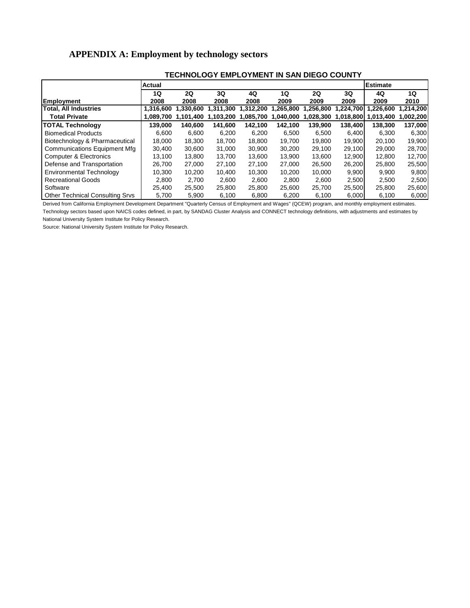#### **APPENDIX A: Employment by technology sectors**

|                                        | Actual    |           |           |           |           |           |           | <b>Estimate</b> |           |
|----------------------------------------|-----------|-----------|-----------|-----------|-----------|-----------|-----------|-----------------|-----------|
|                                        | 1Q        | 2Q        | 3Q        | 4Q        | 1Q        | 2Q        | 3Q        | 4Q              | 1Q        |
| <b>Employment</b>                      | 2008      | 2008      | 2008      | 2008      | 2009      | 2009      | 2009      | 2009            | 2010      |
| <b>Total. All Industries</b>           | 1.316.600 | 1.330.600 | 1,311,300 | 1.312.200 | 1.265.800 | 1.256.800 | .224.700  | .226.600        | .214.200  |
| <b>Total Private</b>                   | 1.089.700 | 1.101.400 | 1.103.200 | 1.085.700 | 1,040,000 | 1,028,300 | 1,018,800 | 1,013,400       | 1,002,200 |
| <b>TOTAL Technology</b>                | 139.000   | 140.600   | 141.600   | 142.100   | 142.100   | 139.900   | 138.400   | 138.300         | 137,000   |
| <b>Biomedical Products</b>             | 6.600     | 6.600     | 6,200     | 6,200     | 6.500     | 6,500     | 6.400     | 6,300           | 6,300     |
| Biotechnology & Pharmaceutical         | 18.000    | 18.300    | 18.700    | 18.800    | 19.700    | 19.800    | 19.900    | 20,100          | 19,900    |
| Communications Equipment Mfg           | 30,400    | 30,600    | 31,000    | 30,900    | 30,200    | 29,100    | 29,100    | 29,000          | 28,700    |
| <b>Computer &amp; Electronics</b>      | 13.100    | 13.800    | 13.700    | 13.600    | 13.900    | 13.600    | 12.900    | 12.800          | 12,700    |
| Defense and Transportation             | 26.700    | 27,000    | 27.100    | 27.100    | 27,000    | 26,500    | 26,200    | 25,800          | 25,500    |
| <b>Environmental Technology</b>        | 10.300    | 10.200    | 10.400    | 10.300    | 10.200    | 10.000    | 9,900     | 9,900           | 9,800     |
| <b>Recreational Goods</b>              | 2.800     | 2.700     | 2.600     | 2.600     | 2.800     | 2.600     | 2.500     | 2.500           | 2,500     |
| Software                               | 25.400    | 25,500    | 25,800    | 25,800    | 25,600    | 25,700    | 25,500    | 25,800          | 25,600    |
| <b>Other Technical Consulting Srvs</b> | 5.700     | 5,900     | 6.100     | 6.800     | 6.200     | 6,100     | 6,000     | 6.100           | 6,000     |

#### **TECHNOLOGY EMPLOYMENT IN SAN DIEGO COUNTY**

Derived from California Employment Development Department "Quarterly Census of Employment and Wages" (QCEW) program, and monthly employment estimates. Technology sectors based upon NAICS codes defined, in part, by SANDAG Cluster Analysis and CONNECT technology definitions, with adjustments and estimates by

National University System Institute for Policy Research.

Source: National University System Institute for Policy Research.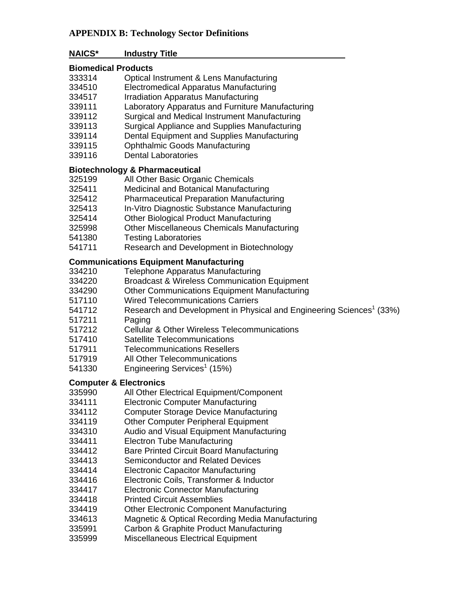#### **APPENDIX B: Technology Sector Definitions**

#### **NAICS\* Industry Title**

#### **Biomedical Products**

- 333314 Optical Instrument & Lens Manufacturing
- 334510 Electromedical Apparatus Manufacturing
- 334517 Irradiation Apparatus Manufacturing
- 339111 Laboratory Apparatus and Furniture Manufacturing
- 339112 Surgical and Medical Instrument Manufacturing
- 339113 Surgical Appliance and Supplies Manufacturing
- 339114 Dental Equipment and Supplies Manufacturing
- 339115 Ophthalmic Goods Manufacturing
- 339116 Dental Laboratories

#### **Biotechnology & Pharmaceutical**

- 325199 All Other Basic Organic Chemicals
- 325411 Medicinal and Botanical Manufacturing
- 325412 Pharmaceutical Preparation Manufacturing
- 325413 In-Vitro Diagnostic Substance Manufacturing
- 325414 Other Biological Product Manufacturing
- 325998 Other Miscellaneous Chemicals Manufacturing
- 541380 Testing Laboratories
- 541711 Research and Development in Biotechnology

#### **Communications Equipment Manufacturing**

- 334210 Telephone Apparatus Manufacturing
- 334220 Broadcast & Wireless Communication Equipment
- 334290 Other Communications Equipment Manufacturing
- 517110 Wired Telecommunications Carriers
- 541712 Research and Development in Physical and Engineering Sciences<sup>1</sup> (33%)
- 517211 Paging
- 517212 Cellular & Other Wireless Telecommunications
- 517410 Satellite Telecommunications
- 517911 Telecommunications Resellers
- 517919 All Other Telecommunications
- 541330 Engineering Services<sup>1</sup> (15%)

#### **Computer & Electronics**

- 335990 All Other Electrical Equipment/Component
- 334111 Electronic Computer Manufacturing
- 334112 Computer Storage Device Manufacturing
- 334119 Other Computer Peripheral Equipment
- 334310 Audio and Visual Equipment Manufacturing
- 334411 Electron Tube Manufacturing
- 334412 Bare Printed Circuit Board Manufacturing
- 334413 Semiconductor and Related Devices
- 334414 Electronic Capacitor Manufacturing
- 334416 Electronic Coils, Transformer & Inductor
- 334417 Electronic Connector Manufacturing
- 334418 Printed Circuit Assemblies
- 334419 Other Electronic Component Manufacturing
- 334613 Magnetic & Optical Recording Media Manufacturing
- 335991 Carbon & Graphite Product Manufacturing
- 335999 Miscellaneous Electrical Equipment